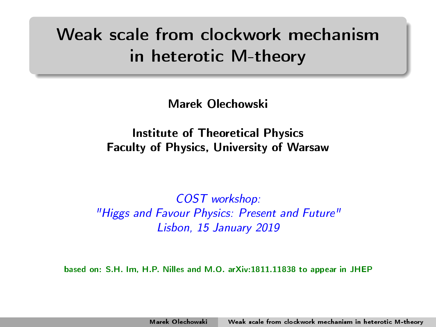# Weak scale from clockwork mechanism in heterotic M-theory

<span id="page-0-0"></span>Marek Olechowski

Institute of Theoretical Physics Faculty of Physics, University of Warsaw

COST workshop: "Higgs and Favour Physics: Present and Future" Lisbon, 15 January 2019

based on: S.H. Im, H.P. Nilles and M.O. arXiv:1811.11838 to appear in JHEP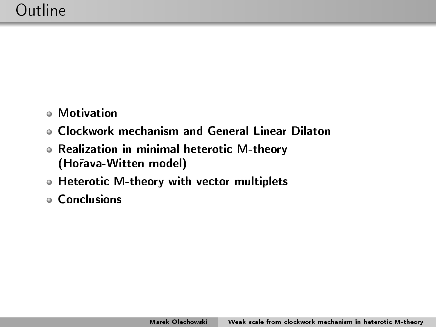- Motivation
- Clockwork mechanism and General Linear Dilaton
- Realization in minimal heterotic M-theory (Ho°ava-Witten model)
- Heterotic M-theory with vector multiplets
- Conclusions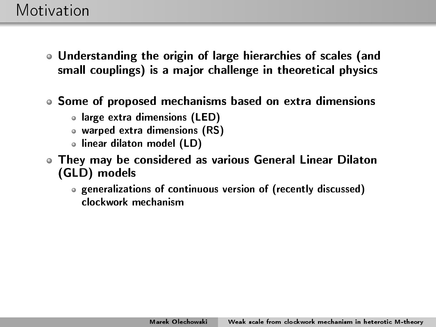- Understanding the origin of large hierarchies of scales (and small couplings) is a major challenge in theoretical physics
- Some of proposed mechanisms based on extra dimensions
	- large extra dimensions (LED)
	- warped extra dimensions (RS)
	- linear dilaton model (LD)
- They may be considered as various General Linear Dilaton (GLD) models
	- generalizations of continuous version of (recently discussed) clockwork mechanism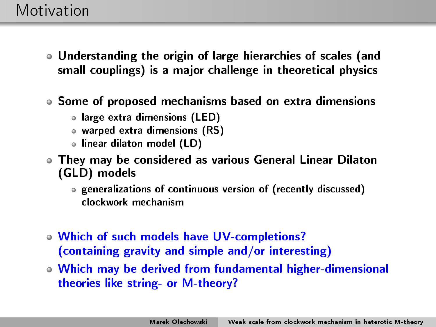- Understanding the origin of large hierarchies of scales (and small couplings) is a major challenge in theoretical physics
- Some of proposed mechanisms based on extra dimensions
	- large extra dimensions (LED)
	- warped extra dimensions (RS)
	- linear dilaton model (LD)
- They may be considered as various General Linear Dilaton (GLD) models
	- generalizations of continuous version of (recently discussed) clockwork mechanism
- Which of such models have UV-completions? (containing gravity and simple and/or interesting)
- Which may be derived from fundamental higher-dimensional theories like string- or M-theory?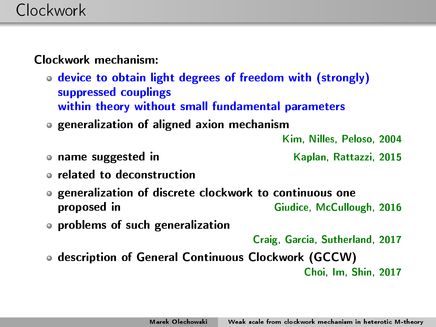Clockwork mechanism:

- device to obtain light degrees of freedom with (strongly) suppressed couplings within theory without small fundamental parameters
- generalization of aligned axion mechanism

Kim, Nilles, Peloso, 2004

**name suggested in Example 2015** Kaplan, Rattazzi, 2015

- related to deconstruction
- generalization of discrete clockwork to continuous one proposed in Giudice, McCullough, 2016
- problems of such generalization

Craig, Garcia, Sutherland, 2017

description of General Continuous Clockwork (GCCW) Choi, Im, Shin, 2017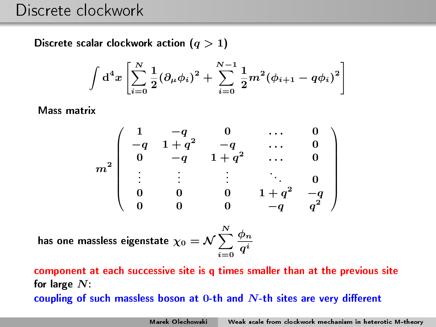Discrete scalar clockwork action  $(q > 1)$ 

$$
\int d^4x \left[ \sum_{i=0}^N \frac{1}{2} (\partial_\mu \phi_i)^2 + \sum_{i=0}^{N-1} \frac{1}{2} m^2 (\phi_{i+1} - q\phi_i)^2 \right]
$$

Mass matrix

$$
m^2 \left( \begin{array}{ccccc} 1 & -q & 0 & \ldots & 0 \\ -q & 1+q^2 & -q & \ldots & 0 \\ 0 & -q & 1+q^2 & \ldots & 0 \\ . & . & . & . & . & 0 \\ 0 & 0 & 0 & 1+q^2 & -q \\ 0 & 0 & 0 & -q & q^2 \end{array} \right)
$$

has one massless eigenstate  $\chi_0 = {\cal N} \sum^N_0$  $i=0$  $\phi_n$  $q^i$ 

component at each successive site is q times smaller than at the previous site for large  $N$ : coupling of such massless boson at 0-th and  $N$ -th sites are very different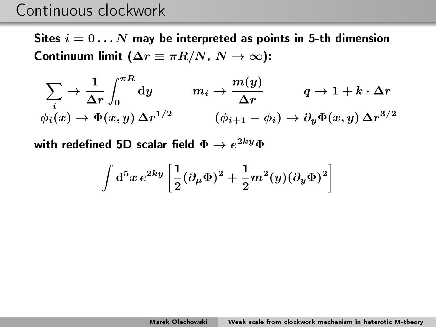## Continuous clockwork

Sites  $i = 0...N$  may be interpreted as points in 5-th dimension Continuum limit ( $\Delta r \equiv \pi R/N$ ,  $N \to \infty$ ):

$$
\sum_{i} \rightarrow \frac{1}{\Delta r} \int_{0}^{\pi R} dy \qquad m_{i} \rightarrow \frac{m(y)}{\Delta r} \qquad q \rightarrow 1 + k \cdot \Delta r
$$
  

$$
\phi_{i}(x) \rightarrow \Phi(x, y) \Delta r^{1/2} \qquad (\phi_{i+1} - \phi_{i}) \rightarrow \partial_{y} \Phi(x, y) \Delta r^{3/2}
$$

with redefined 5D scalar field  $\Phi\to e^{2ky}\Phi$ 

$$
\int\mathrm{d}^5x\,e^{2ky}\left[\frac{1}{2}(\partial_{\mu}\Phi)^2+\frac{1}{2}m^2(y)(\partial_y\Phi)^2\right]
$$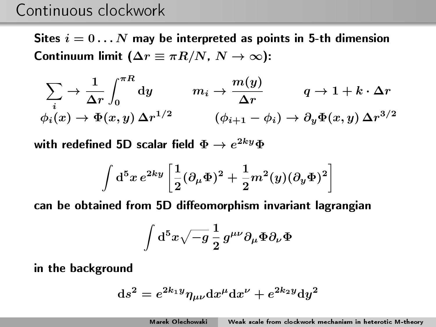## Continuous clockwork

Sites  $i = 0 \ldots N$  may be interpreted as points in 5-th dimension Continuum limit ( $\Delta r \equiv \pi R/N$ ,  $N \to \infty$ ):

$$
\sum_{i} \rightarrow \frac{1}{\Delta r} \int_{0}^{\pi R} dy \qquad m_{i} \rightarrow \frac{m(y)}{\Delta r} \qquad q \rightarrow 1 + k \cdot \Delta r
$$
  

$$
\phi_{i}(x) \rightarrow \Phi(x, y) \Delta r^{1/2} \qquad (\phi_{i+1} - \phi_{i}) \rightarrow \partial_{y} \Phi(x, y) \Delta r^{3/2}
$$

with redefined 5D scalar field  $\Phi\to e^{2ky}\Phi$ 

$$
\int\mathrm{d}^5x\,e^{2ky}\left[\frac{1}{2}(\partial_\mu\Phi)^2+\frac{1}{2}m^2(y)(\partial_y\Phi)^2\right]
$$

can be obtained from 5D diffeomorphism invariant lagrangian

$$
\int\mathrm{d}^5x\sqrt{-g}\,\frac{1}{2}\,g^{\mu\nu}\partial_\mu\Phi\partial_\nu\Phi
$$

in the background

$$
ds^2 = e^{2k_1y}\eta_{\mu\nu}dx^\mu dx^\nu + e^{2k_2y}dy^2
$$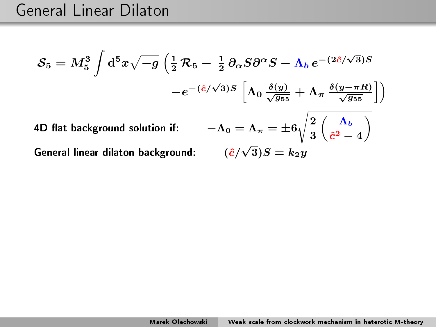$$
S_5 = M_5^3 \int d^5 x \sqrt{-g} \left( \frac{1}{2} \mathcal{R}_5 - \frac{1}{2} \partial_\alpha S \partial^\alpha S - \Lambda_b e^{-(2\hat{c}/\sqrt{3})S} \right)
$$

$$
-e^{-(\hat{c}/\sqrt{3})S} \left[ \Lambda_0 \frac{\delta(y)}{\sqrt{g_{55}}} + \Lambda_\pi \frac{\delta(y-\pi R)}{\sqrt{g_{55}}} \right])
$$
4D flat background solution if: 
$$
-\Lambda_0 = \Lambda_\pi = \pm 6 \sqrt{\frac{2}{3} \left( \frac{\Lambda_b}{\hat{c}^2 - 4} \right)}
$$
General linear dilaton background: 
$$
(\hat{c}/\sqrt{3})S = k_2 y
$$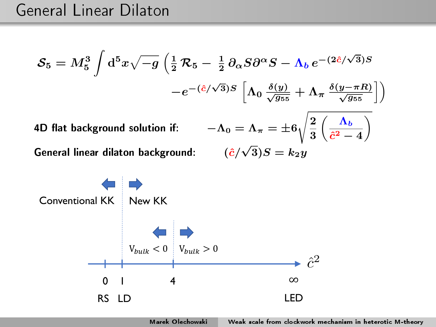$$
\mathcal{S}_5 = M_5^3 \int d^5 x \sqrt{-g} \left( \frac{1}{2} \mathcal{R}_5 - \frac{1}{2} \partial_\alpha S \partial^\alpha S - \Lambda_b e^{-(2\hat{c}/\sqrt{3})S} \right)
$$

$$
-e^{-(\hat{c}/\sqrt{3})S} \left[ \Lambda_0 \frac{\delta(y)}{\sqrt{g_{55}}} + \Lambda_\pi \frac{\delta(y - \pi R)}{\sqrt{g_{55}}} \right])
$$
4D flat background solution if: 
$$
-\Lambda_0 = \Lambda_\pi = \pm 6 \sqrt{\frac{2}{\pi} \left( \frac{\Lambda_b}{\sqrt{g_{55}}} \right)}
$$

General linear dilaton background:

$$
\Lambda_0 = \Lambda_\pi = \pm 6 \sqrt{\frac{2}{3} \left( \frac{\Lambda_b}{\hat{c}^2 - 4} \right)}
$$

$$
(\hat{c}/\sqrt{3})S = k_2 y
$$



Marek Olechowski [Weak scale from clockwork mechanism in heterotic M-theory](#page-0-0)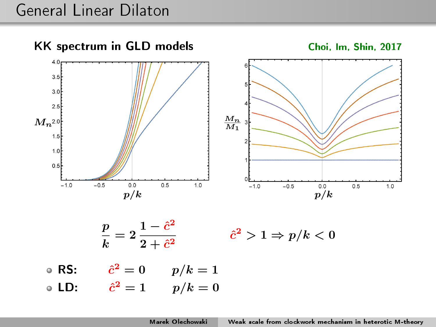## General Linear Dilaton





**RS:**  $\hat{c}^2 = 0$   $p/k = 1$ 

**LD:**  $\hat{c}^2 = 1$   $p/k = 0$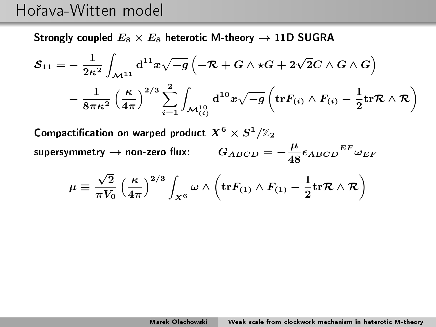## Hořava-Witten model

Strongly coupled  $E_8 \times E_8$  heterotic M-theory  $\rightarrow$  11D SUGRA

$$
\begin{aligned} {\cal S}_{11}=&-\frac{1}{2\kappa^2}\int_{{\cal M}^{11}}\mathrm{d}^{11}x\sqrt{-g}\left(-{\cal R}+G\wedge\star G+2\sqrt{2}C\wedge G\wedge G\right)\\&-\frac{1}{8\pi\kappa^2}\left(\frac{\kappa}{4\pi}\right)^{2/3}\sum_{i=1}^2\int_{{\cal M}_{(i)}^{10}}\mathrm{d}^{10}x\sqrt{-g}\left(\mathrm{tr} F_{(i)}\wedge F_{(i)}-\frac{1}{2}\mathrm{tr}{\cal R}\wedge {\cal R}\right)\end{aligned}
$$

Compactification on warped product  $X^6\times S^1/\mathbb{Z}_2$ supersymmetry  $\rightarrow$  non-zero flux:  $\mu$  $\frac{\mu}{48} \epsilon_{ABCD}{}^{EF} \omega_{EF}$ 

$$
\mu \equiv \frac{\sqrt{2}}{\pi V_0} \left(\frac{\kappa}{4\pi}\right)^{2/3} \int_{X^6} \omega \wedge \left( {\rm tr} F_{(1)} \wedge F_{(1)} - \frac{1}{2} {\rm tr} {\cal R} \wedge {\cal R} \right)
$$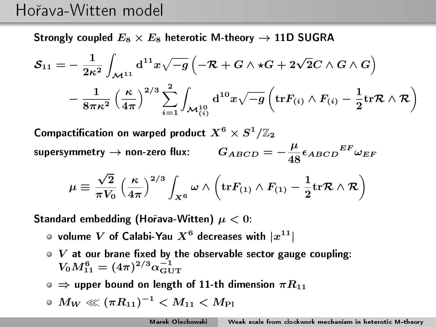### Ho°ava-Witten model

Strongly coupled  $E_8 \times E_8$  heterotic M-theory  $\rightarrow$  11D SUGRA

$$
\begin{aligned} {\cal S}_{11}=&-\frac{1}{2\kappa^2}\int_{{\cal M}^{11}}\mathrm{d}^{11}x\sqrt{-g}\left(-{\cal R}+G\wedge\star G+2\sqrt{2}C\wedge G\wedge G\right)\\&-\frac{1}{8\pi\kappa^2}\left(\frac{\kappa}{4\pi}\right)^{2/3}\sum_{i=1}^2\int_{{\cal M}_{(i)}^{10}}\mathrm{d}^{10}x\sqrt{-g}\left(\mathrm{tr} F_{(i)}\wedge F_{(i)}-\frac{1}{2}\mathrm{tr}{\cal R}\wedge {\cal R}\right)\end{aligned}
$$

Compactification on warped product  $X^6\times S^1/\mathbb{Z}_2$ supersymmetry  $\rightarrow$  non-zero flux:  $\mu$  $\frac{\mu}{48} \epsilon_{ABCD}{}^{EF} \omega_{EF}$ 

$$
\mu \equiv \frac{\sqrt{2}}{\pi V_0} \left( \frac{\kappa}{4\pi} \right)^{2/3} \int_{X^6} \omega \wedge \left( {\rm tr} F_{(1)} \wedge F_{(1)} - \frac{1}{2} {\rm tr} {\cal R} \wedge {\cal R} \right)
$$

Standard embedding (Horava-Witten)  $\mu < 0$ :

- volume  $V$  of Calabi-Yau  $X^6$  decreases with  $|x^{11}|$
- $\boldsymbol{V}$  at our brane fixed by the observable sector gauge coupling:  $V_0 M_{11}^6 = (4\pi)^{2/3} \alpha_{\rm GUT}^{-1}$
- $\bullet \Rightarrow$  upper bound on length of 11-th dimension  $\pi R_{11}$

$$
\mathrel{\textcolor{red}{\circ}} M_W \lll (\pi R_{11})^{-1} < M_{11} < M_{\rm Pl}
$$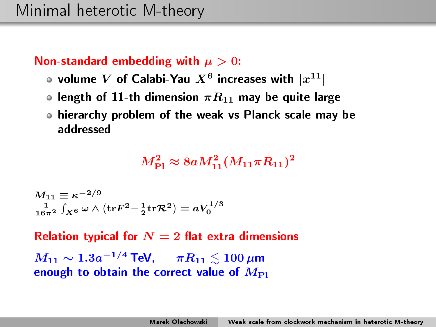#### Non-standard embedding with  $\mu > 0$ :

- volume  $V$  of Calabi-Yau  $X^6$  increases with  $|x^{11}|$
- **o** length of 11-th dimension  $\pi R_{11}$  may be quite large
- hierarchy problem of the weak vs Planck scale may be addressed

 $M_{\rm Pl}^2 \approx 8 a M_{11}^2 (M_{11} \pi R_{11})^2$ 

$$
M_{11} \equiv \kappa^{-2/9}
$$
  

$$
\frac{1}{16\pi^2} \int_{X^6} \omega \wedge (\text{tr} F^2 - \frac{1}{2} \text{tr} \mathcal{R}^2) = aV_0^{1/3}
$$

Relation typical for  $N=2$  flat extra dimensions  $M_{11} \sim 1.3 a^{-1/4}$  TeV,  $\qquad \pi R_{11} \lesssim 100 \, \mu \text{m}$ enough to obtain the correct value of  $M_{\text{Pl}}$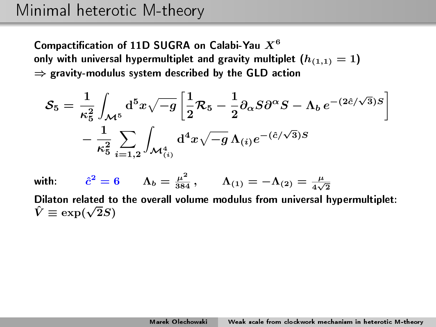## Minimal heterotic M-theory

Compactification of 11D SUGRA on Calabi-Yau  $X^6$ only with universal hypermultiplet and gravity multiplet  $(h_{(1,1)} = 1)$  $\Rightarrow$  gravity-modulus system described by the GLD action

$$
\mathcal{S}_5 = \frac{1}{\kappa_5^2} \int_{\mathcal{M}^5} \mathrm{d}^5 x \sqrt{-g} \left[ \frac{1}{2} \mathcal{R}_5 - \frac{1}{2} \partial_\alpha S \partial^\alpha S - \Lambda_b e^{-(2\hat{c}/\sqrt{3})S} \right] - \frac{1}{\kappa_5^2} \sum_{i=1,2} \int_{\mathcal{M}_{(i)}^4} \mathrm{d}^4 x \sqrt{-g} \, \Lambda_{(i)} e^{-(\hat{c}/\sqrt{3})S}
$$

with:  $\hat{c}^2 = 6$   $\Lambda_b = \frac{\mu^2}{384}$ ,  $\Lambda_{(1)} = -\Lambda_{(2)} = \frac{\mu}{4\sqrt{2}}$ Dilaton related to the overall volume modulus from universal hypermultiplet: Dilaton related to  $\hat{V} \equiv \exp(\sqrt{2}S)$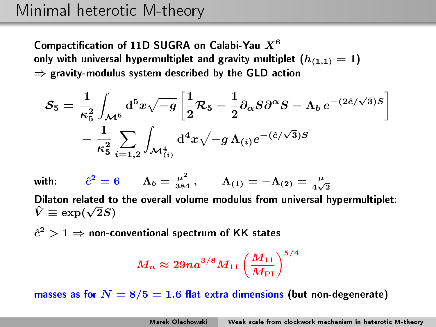## Minimal heterotic M-theory

Compactification of 11D SUGRA on Calabi-Yau  $X^6$ only with universal hypermultiplet and gravity multiplet  $(h_{(1,1)} = 1)$  $\Rightarrow$  gravity-modulus system described by the GLD action

$$
\mathcal{S}_5 = \frac{1}{\kappa_5^2} \int_{\mathcal{M}^5} \mathrm{d}^5 x \sqrt{-g} \left[ \frac{1}{2} \mathcal{R}_5 - \frac{1}{2} \partial_\alpha S \partial^\alpha S - \Lambda_b e^{-(2\hat{c}/\sqrt{3})S} \right] - \frac{1}{\kappa_5^2} \sum_{i=1,2} \int_{\mathcal{M}_{(i)}^4} \mathrm{d}^4 x \sqrt{-g} \, \Lambda_{(i)} e^{-(\hat{c}/\sqrt{3})S}
$$

with:  $\hat{c}^2 = 6$   $\Lambda_b = \frac{\mu^2}{384}$ ,  $\Lambda_{(1)} = -\Lambda_{(2)} = \frac{\mu}{4\sqrt{2}}$ Dilaton related to the overall volume modulus from universal hypermultiplet: Dilaton related to  $\hat{V} \equiv \exp(\sqrt{2}S)$ 

 $\hat{c}^2 > 1 \Rightarrow$  non-conventional spectrum of KK states

$$
M_n \approx 29 n a^{3/8} M_{11} \left(\frac{M_{11}}{M_{\rm Pl}}\right)^{5/4}
$$

masses as for  $N = 8/5 = 1.6$  flat extra dimensions (but non-degenerate)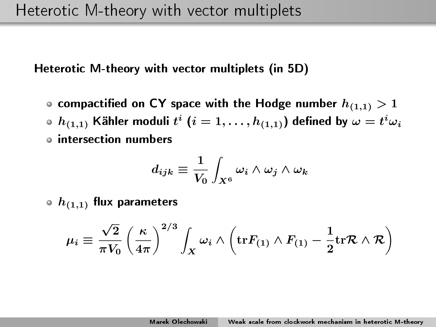• compactified on CY space with the Hodge number  $h_{(1,1)}>1$  $h_{(1,1)}$  Kähler moduli  $t^i$   $(i=1,\ldots,h_{(1,1)})$  defined by  $\omega=t^i\omega_i$ intersection numbers

$$
d_{ijk}\equiv \frac{1}{V_0}\int_{X^6} \omega_i \wedge \omega_j \wedge \omega_k
$$

 $\circ$   $h_{(1,1)}$  flux parameters

$$
\mu_i \equiv \frac{\sqrt{2}}{\pi V_0} \left(\frac{\kappa}{4\pi}\right)^{2/3} \int_X \omega_i \wedge \left( {\rm tr} F_{(1)} \wedge F_{(1)} - \frac{1}{2} {\rm tr} {\cal R} \wedge {\cal R} \right)
$$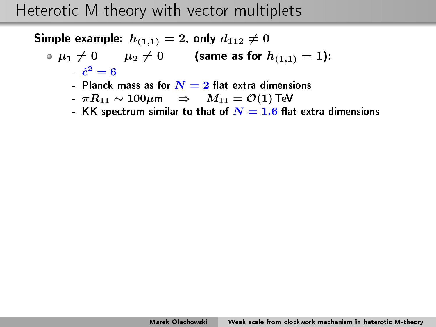Simple example:  $h_{(1,1)}=2$ , only  $d_{112}\neq 0$ 

• 
$$
\mu_1 \neq 0
$$
  $\mu_2 \neq 0$  (same as for  $h_{(1,1)} = 1$ ):  
 $\hat{c}^2 = 6$ 

- Planck mass as for  $\overline{N}=2$  flat extra dimensions
- $-\pi R_{11} \sim 100 \mu \text{m} \Rightarrow M_{11} = \mathcal{O}(1)$  TeV
- KK spectrum similar to that of  $N = 1.6$  flat extra dimensions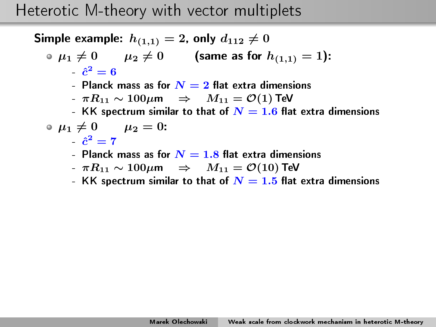Simple example:  $h_{(1,1)}=2$ , only  $d_{112}\neq 0$ 

$$
\bullet \ \mu_1 \neq 0 \qquad \mu_2 \neq 0 \qquad \text{(same as for } h_{(1,1)} = 1):
$$
  

$$
\hat{c}^2 = 6
$$

- Planck mass as for  $\overline{N}=2$  flat extra dimensions
- $\pi R_{11} \sim 100 \mu \text{m} \Rightarrow M_{11} = \mathcal{O}(1)$  TeV
- $\,$  KK spectrum similar to that of  $\boldsymbol{N}=1.6$  flat extra dimensions

$$
\circ \mu_1 \neq 0 \qquad \mu_2 = 0:
$$

- $\hat{c}^2=7$
- Planck mass as for  $N=1.8$  flat extra dimensions
- $-\pi R_{11} \sim 100 \mu \text{m} \Rightarrow M_{11} = \mathcal{O}(10) \text{ TeV}$
- KK spectrum similar to that of  $N = 1.5$  flat extra dimensions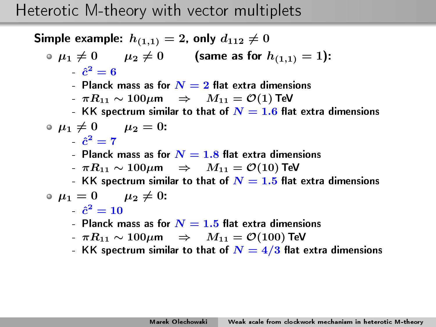Simple example:  $h_{(1,1)}=2$ , only  $d_{112}\neq 0$ 

$$
\begin{array}{ll}\n\bullet \mu_1 \neq 0 & \mu_2 \neq 0 \\
\bullet \quad \hat{c}^2 = 6\n\end{array}
$$
 (same as for  $h_{(1,1)} = 1$ ):

- Planck mass as for  $\overline{N}=2$  flat extra dimensions
- $\pi R_{11} \sim 100 \mu \text{m} \Rightarrow M_{11} = \mathcal{O}(1)$  TeV
- $\,$  KK spectrum similar to that of  $\boldsymbol{N}=1.6$  flat extra dimensions

$$
\bullet \ \mu_1 \neq 0 \qquad \mu_2 = 0:
$$

- $\hat{c}^2=7$
- Planck mass as for  $N=1.8$  flat extra dimensions
- $-\pi R_{11} \sim 100 \mu$ m  $\Rightarrow$   $M_{11} = \mathcal{O}(10)$  TeV
- KK spectrum similar to that of  $\overline{N}=1.5$  flat extra dimensions

$$
\bullet \ \mu_1 = 0 \qquad \mu_2 \neq 0: \\ \hat{c}^2 = 10
$$

- Planck mass as for  $\overline{N} = 1.5$  flat extra dimensions
- $-\pi R_{11} \sim 100 \mu \text{m} \Rightarrow M_{11} = \mathcal{O}(100) \text{ TeV}$
- KK spectrum similar to that of  $N = 4/3$  flat extra dimensions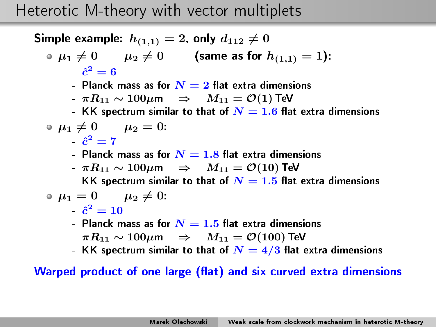Simple example:  $h_{(1,1)}=2$ , only  $d_{112}\neq 0$ 

$$
\bullet \ \mu_1 \neq 0 \qquad \mu_2 \neq 0 \qquad \text{(same as for } h_{(1,1)} = 1):
$$

$$
\hat{c}^2 = 6
$$

- Planck mass as for  $\overline{N}=2$  flat extra dimensions
- $\pi R_{11} \sim 100 \mu \text{m} \Rightarrow M_{11} = \mathcal{O}(1)$  TeV
- $\,$  KK spectrum similar to that of  $\boldsymbol{N}=1.6$  flat extra dimensions

$$
\bullet \ \mu_1 \neq 0 \qquad \mu_2 = 0:
$$

- $\hat{c}^2=7$
- Planck mass as for  $N=1.8$  flat extra dimensions
- $-\pi R_{11} \sim 100 \mu$ m  $\Rightarrow$   $M_{11} = \mathcal{O}(10)$  TeV
- KK spectrum similar to that of  $\overline{N}=1.5$  flat extra dimensions

$$
\bullet \ \mu_1 = 0 \qquad \mu_2 \neq 0.
$$

- $\hat{c}^2=10$
- Planck mass as for  $\overline{N} = 1.5$  flat extra dimensions
- $-\pi R_{11} \sim 100 \mu \text{m} \Rightarrow M_{11} = \mathcal{O}(100) \text{ TeV}$
- KK spectrum similar to that of  $N = 4/3$  flat extra dimensions

Warped product of one large (flat) and six curved extra dimensions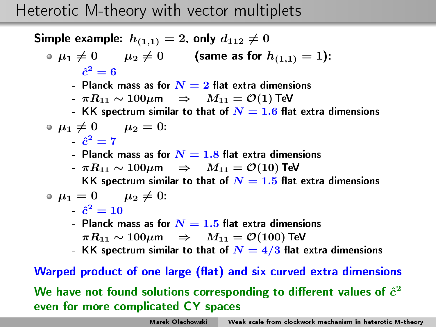Simple example:  $h_{(1,1)}=2$ , only  $d_{112}\neq 0$ 

• 
$$
\mu_1 \neq 0
$$
  $\mu_2 \neq 0$  (same as for  $h_{(1,1)} = 1$ ):  
 $\hat{c}^2 = 6$ 

- Planck mass as for  $\overline{N}=2$  flat extra dimensions
- $\pi R_{11} \sim 100 \mu \text{m} \Rightarrow M_{11} = \mathcal{O}(1)$  TeV
- $\,$  KK spectrum similar to that of  $\boldsymbol{N}=1.6$  flat extra dimensions

$$
\bullet \ \mu_1 \neq 0 \qquad \mu_2 = 0:
$$

- $\hat{c}^2=7$
- Planck mass as for  $N=1.8$  flat extra dimensions
- $-\pi R_{11} \sim 100 \mu \text{m} \Rightarrow M_{11} = \mathcal{O}(10) \text{ TeV}$
- KK spectrum similar to that of  $\overline{N}=1.5$  flat extra dimensions

$$
\bullet \ \mu_1 = 0 \qquad \mu_2 \neq 0.
$$

- $\hat{c}^2=10$
- Planck mass as for  $\overline{N} = 1.5$  flat extra dimensions
- $-\pi R_{11} \sim 100 \mu \text{m} \Rightarrow M_{11} = \mathcal{O}(100) \text{ TeV}$
- KK spectrum similar to that of  $N = 4/3$  flat extra dimensions

#### Warped product of one large (flat) and six curved extra dimensions

We have not found solutions corresponding to different values of  $\hat{c}^2$ even for more complicated CY spaces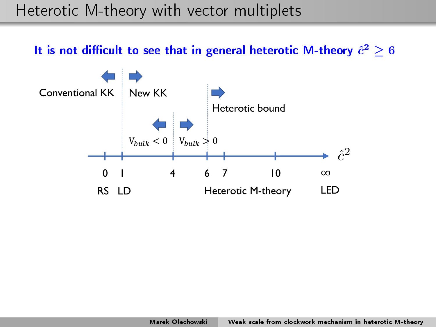It is not difficult to see that in general heterotic M-theory  $\hat{c}^2\geq 6$ 

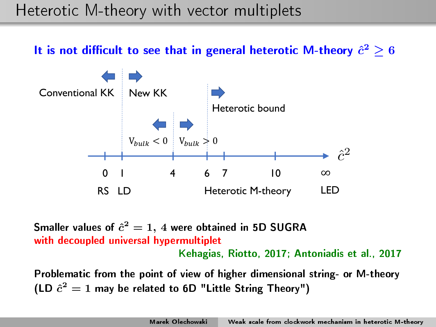It is not difficult to see that in general heterotic M-theory  $\hat{c}^2\geq 6$ 



Smaller values of  $\hat{c}^2=1,\,4$  were obtained in 5D SUGRA with decoupled universal hypermultiplet Kehagias, Riotto, 2017; Antoniadis et al., 2017

Problematic from the point of view of higher dimensional string- or M-theory (LD  $\hat{c}^2 = 1$  may be related to 6D "Little String Theory")